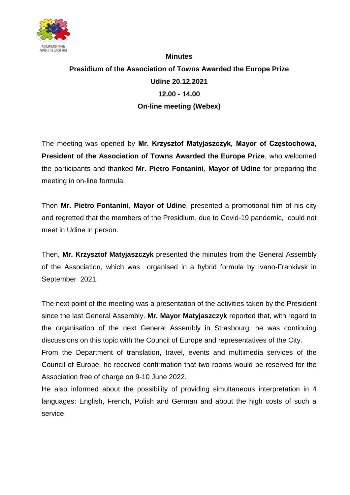

## **Minutes Presidium of the Association of Towns Awarded the Europe Prize Udine 20.12.2021 12.00 - 14.00 On-line meeting (Webex)**

The meeting was opened by **Mr. Krzysztof Matyjaszczyk, Mayor of Częstochowa, President of the Association of Towns Awarded the Europe Prize**, who welcomed the participants and thanked **Mr. Pietro Fontanini**, **Mayor of Udine** for preparing the meeting in on-line formula.

Then **Mr. Pietro Fontanini**, **Mayor of Udine**, presented a promotional film of his city and regretted that the members of the Presidium, due to Covid-19 pandemic, could not meet in Udine in person.

Then, **Mr. Krzysztof Matyjaszczyk** presented the minutes from the General Assembly of the Association, which was organised in a hybrid formula by Ivano-Frankivsk in September 2021.

The next point of the meeting was a presentation of the activities taken by the President since the last General Assembly. **Mr. Mayor Matyjaszczyk** reported that, with regard to the organisation of the next General Assembly in Strasbourg, he was continuing discussions on this topic with the Council of Europe and representatives of the City.

From the Department of translation, travel, events and multimedia services of the Council of Europe, he received confirmation that two rooms would be reserved for the Association free of charge on 9-10 June 2022.

He also informed about the possibility of providing simultaneous interpretation in 4 languages: English, French, Polish and German and about the high costs of such a service